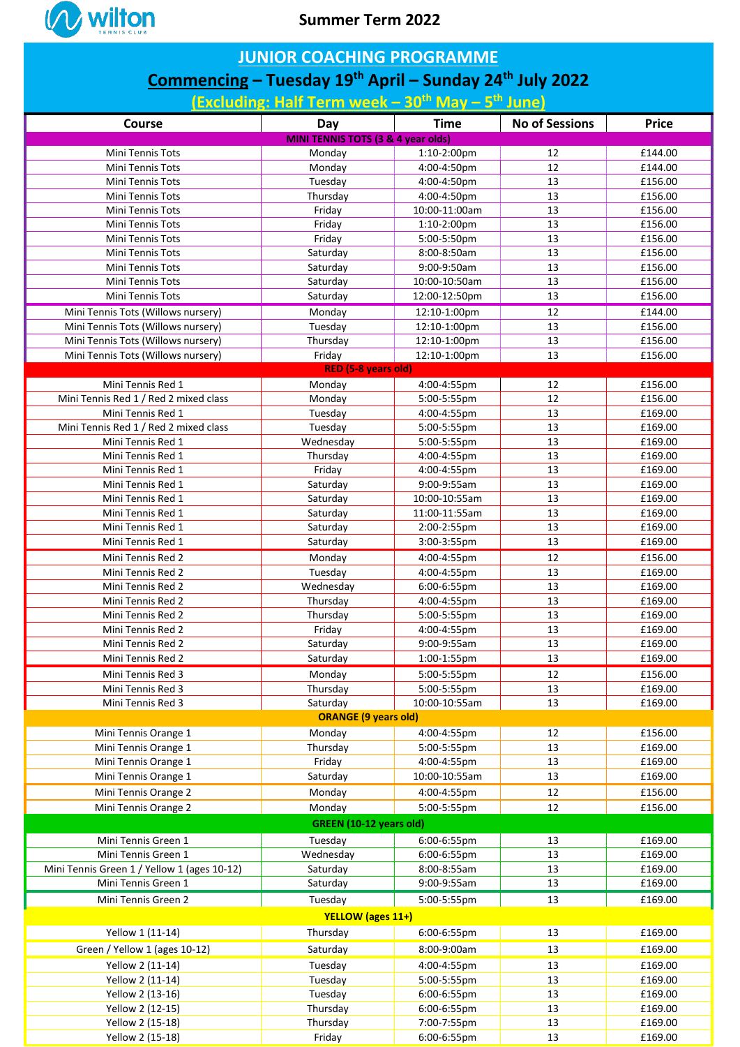

## **JUNIOR COACHING PROGRAMME**

## **Commencing – Tuesday 19th April – Sunday 24th July 2022**

**(Excluding: Half Term week – 30th May – 5 th June)**

| Course                                                                             | Day                                           | <b>Time</b>   | <b>No of Sessions</b> | <b>Price</b> |  |  |  |  |
|------------------------------------------------------------------------------------|-----------------------------------------------|---------------|-----------------------|--------------|--|--|--|--|
|                                                                                    | <b>MINI TENNIS TOTS (3 &amp; 4 year olds)</b> |               |                       |              |  |  |  |  |
| Mini Tennis Tots                                                                   | Monday                                        | 1:10-2:00pm   | 12                    | £144.00      |  |  |  |  |
| Mini Tennis Tots                                                                   | Monday                                        | 4:00-4:50pm   | 12                    | £144.00      |  |  |  |  |
| Mini Tennis Tots                                                                   | Tuesday                                       | 4:00-4:50pm   | 13                    | £156.00      |  |  |  |  |
| Mini Tennis Tots                                                                   | Thursday                                      | 4:00-4:50pm   | 13                    | £156.00      |  |  |  |  |
| Mini Tennis Tots                                                                   | Friday                                        | 10:00-11:00am | 13                    | £156.00      |  |  |  |  |
| <b>Mini Tennis Tots</b>                                                            | Friday                                        | 1:10-2:00pm   | 13                    | £156.00      |  |  |  |  |
| Mini Tennis Tots                                                                   | Friday                                        | 5:00-5:50pm   | 13                    | £156.00      |  |  |  |  |
| Mini Tennis Tots                                                                   | Saturday                                      | 8:00-8:50am   | 13                    | £156.00      |  |  |  |  |
| Mini Tennis Tots                                                                   | Saturday                                      | 9:00-9:50am   | 13                    | £156.00      |  |  |  |  |
| <b>Mini Tennis Tots</b>                                                            | Saturday                                      | 10:00-10:50am | 13                    | £156.00      |  |  |  |  |
| Mini Tennis Tots                                                                   | Saturday                                      | 12:00-12:50pm | 13                    | £156.00      |  |  |  |  |
| Mini Tennis Tots (Willows nursery)                                                 | Monday                                        | 12:10-1:00pm  | 12                    | £144.00      |  |  |  |  |
| Mini Tennis Tots (Willows nursery)                                                 | Tuesday                                       | 12:10-1:00pm  | 13                    | £156.00      |  |  |  |  |
| Mini Tennis Tots (Willows nursery)                                                 | Thursday                                      | 12:10-1:00pm  | 13                    | £156.00      |  |  |  |  |
| Mini Tennis Tots (Willows nursery)                                                 | Friday                                        | 12:10-1:00pm  | 13                    | £156.00      |  |  |  |  |
| RED (5-8 years old)<br>£156.00<br>Mini Tennis Red 1<br>4:00-4:55pm<br>12<br>Monday |                                               |               |                       |              |  |  |  |  |
| Mini Tennis Red 1 / Red 2 mixed class                                              | Monday                                        | 5:00-5:55pm   | 12                    | £156.00      |  |  |  |  |
| Mini Tennis Red 1                                                                  | Tuesday                                       | 4:00-4:55pm   | 13                    | £169.00      |  |  |  |  |
| Mini Tennis Red 1 / Red 2 mixed class                                              | Tuesday                                       | 5:00-5:55pm   | 13                    | £169.00      |  |  |  |  |
| Mini Tennis Red 1                                                                  | Wednesday                                     | 5:00-5:55pm   | 13                    | £169.00      |  |  |  |  |
| Mini Tennis Red 1                                                                  | Thursday                                      | 4:00-4:55pm   | 13                    | £169.00      |  |  |  |  |
| Mini Tennis Red 1                                                                  | Friday                                        | 4:00-4:55pm   | 13                    | £169.00      |  |  |  |  |
| Mini Tennis Red 1                                                                  | Saturday                                      | 9:00-9:55am   | 13                    | £169.00      |  |  |  |  |
| Mini Tennis Red 1                                                                  | Saturday                                      | 10:00-10:55am | 13                    | £169.00      |  |  |  |  |
| Mini Tennis Red 1                                                                  | Saturday                                      | 11:00-11:55am | 13                    | £169.00      |  |  |  |  |
| Mini Tennis Red 1                                                                  | Saturday                                      | 2:00-2:55pm   | 13                    | £169.00      |  |  |  |  |
| Mini Tennis Red 1                                                                  | Saturday                                      | 3:00-3:55pm   | 13                    | £169.00      |  |  |  |  |
| Mini Tennis Red 2                                                                  | Monday                                        | 4:00-4:55pm   | 12                    | £156.00      |  |  |  |  |
| Mini Tennis Red 2                                                                  | Tuesday                                       | 4:00-4:55pm   | 13                    | £169.00      |  |  |  |  |
| Mini Tennis Red 2                                                                  | Wednesday                                     | 6:00-6:55pm   | 13                    | £169.00      |  |  |  |  |
| Mini Tennis Red 2                                                                  | Thursday                                      | 4:00-4:55pm   | 13                    | £169.00      |  |  |  |  |
| Mini Tennis Red 2                                                                  | Thursday                                      | 5:00-5:55pm   | 13                    | £169.00      |  |  |  |  |
| Mini Tennis Red 2                                                                  | Friday                                        | 4:00-4:55pm   | 13                    | £169.00      |  |  |  |  |
| Mini Tennis Red 2                                                                  | Saturday                                      | 9:00-9:55am   | 13                    | £169.00      |  |  |  |  |
| Mini Tennis Red 2                                                                  | Saturday                                      | 1:00-1:55pm   | 13                    | £169.00      |  |  |  |  |
| Mini Tennis Red 3                                                                  | Monday                                        | 5:00-5:55pm   | 12                    | £156.00      |  |  |  |  |
| Mini Tennis Red 3                                                                  | Thursday                                      | 5:00-5:55pm   | 13                    | £169.00      |  |  |  |  |
| Mini Tennis Red 3                                                                  | Saturday                                      | 10:00-10:55am | 13                    | £169.00      |  |  |  |  |
| <b>ORANGE (9 years old)</b>                                                        |                                               |               |                       |              |  |  |  |  |
| Mini Tennis Orange 1                                                               | Monday                                        | 4:00-4:55pm   | 12                    | £156.00      |  |  |  |  |
| Mini Tennis Orange 1                                                               | Thursday                                      | 5:00-5:55pm   | 13                    | £169.00      |  |  |  |  |
| Mini Tennis Orange 1                                                               | Friday                                        | 4:00-4:55pm   | 13                    | £169.00      |  |  |  |  |
| Mini Tennis Orange 1                                                               | Saturday                                      | 10:00-10:55am | 13                    | £169.00      |  |  |  |  |
| Mini Tennis Orange 2                                                               | Monday                                        | 4:00-4:55pm   | 12                    | £156.00      |  |  |  |  |
| Mini Tennis Orange 2                                                               | Monday                                        | 5:00-5:55pm   | 12                    | £156.00      |  |  |  |  |
| <b>GREEN (10-12 years old)</b>                                                     |                                               |               |                       |              |  |  |  |  |
| Mini Tennis Green 1                                                                | Tuesday                                       | 6:00-6:55pm   | 13                    | £169.00      |  |  |  |  |
| Mini Tennis Green 1                                                                | Wednesday                                     | 6:00-6:55pm   | 13                    | £169.00      |  |  |  |  |
| Mini Tennis Green 1 / Yellow 1 (ages 10-12)                                        | Saturday                                      | 8:00-8:55am   | 13                    | £169.00      |  |  |  |  |
| Mini Tennis Green 1                                                                | Saturday                                      | 9:00-9:55am   | 13                    | £169.00      |  |  |  |  |
| Mini Tennis Green 2                                                                | Tuesday                                       | 5:00-5:55pm   | 13                    | £169.00      |  |  |  |  |
| <b>YELLOW</b> (ages 11+)                                                           |                                               |               |                       |              |  |  |  |  |
| Yellow 1 (11-14)                                                                   | Thursday                                      | 6:00-6:55pm   | 13                    | £169.00      |  |  |  |  |
| Green / Yellow 1 (ages 10-12)                                                      | Saturday                                      | 8:00-9:00am   | 13                    | £169.00      |  |  |  |  |
| Yellow 2 (11-14)                                                                   | Tuesday                                       | 4:00-4:55pm   | 13                    | £169.00      |  |  |  |  |
| Yellow 2 (11-14)                                                                   | Tuesday                                       | 5:00-5:55pm   | 13                    | £169.00      |  |  |  |  |
| Yellow 2 (13-16)                                                                   | Tuesday                                       | 6:00-6:55pm   | 13                    | £169.00      |  |  |  |  |
| Yellow 2 (12-15)                                                                   | Thursday                                      | 6:00-6:55pm   | 13                    | £169.00      |  |  |  |  |
| Yellow 2 (15-18)                                                                   | Thursday                                      | 7:00-7:55pm   | 13                    | £169.00      |  |  |  |  |
| Yellow 2 (15-18)                                                                   | Friday                                        | 6:00-6:55pm   | 13                    | £169.00      |  |  |  |  |